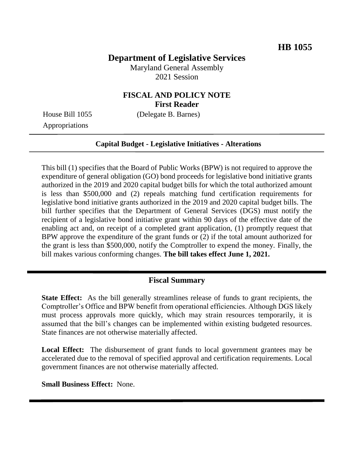# **Department of Legislative Services**

Maryland General Assembly 2021 Session

## **FISCAL AND POLICY NOTE First Reader**

House Bill 1055 (Delegate B. Barnes)

Appropriations

#### **Capital Budget - Legislative Initiatives - Alterations**

This bill (1) specifies that the Board of Public Works (BPW) is not required to approve the expenditure of general obligation (GO) bond proceeds for legislative bond initiative grants authorized in the 2019 and 2020 capital budget bills for which the total authorized amount is less than \$500,000 and (2) repeals matching fund certification requirements for legislative bond initiative grants authorized in the 2019 and 2020 capital budget bills. The bill further specifies that the Department of General Services (DGS) must notify the recipient of a legislative bond initiative grant within 90 days of the effective date of the enabling act and, on receipt of a completed grant application, (1) promptly request that BPW approve the expenditure of the grant funds or (2) if the total amount authorized for the grant is less than \$500,000, notify the Comptroller to expend the money. Finally, the bill makes various conforming changes. **The bill takes effect June 1, 2021.** 

### **Fiscal Summary**

**State Effect:** As the bill generally streamlines release of funds to grant recipients, the Comptroller's Office and BPW benefit from operational efficiencies. Although DGS likely must process approvals more quickly, which may strain resources temporarily, it is assumed that the bill's changes can be implemented within existing budgeted resources. State finances are not otherwise materially affected.

**Local Effect:** The disbursement of grant funds to local government grantees may be accelerated due to the removal of specified approval and certification requirements. Local government finances are not otherwise materially affected.

**Small Business Effect:** None.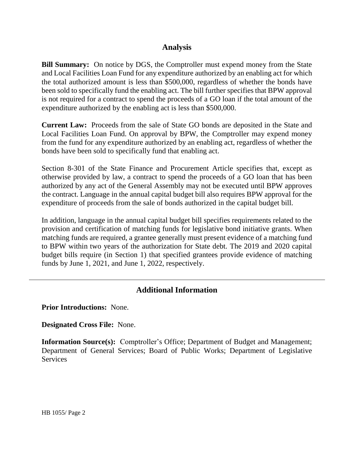## **Analysis**

**Bill Summary:** On notice by DGS, the Comptroller must expend money from the State and Local Facilities Loan Fund for any expenditure authorized by an enabling act for which the total authorized amount is less than \$500,000, regardless of whether the bonds have been sold to specifically fund the enabling act. The bill further specifies that BPW approval is not required for a contract to spend the proceeds of a GO loan if the total amount of the expenditure authorized by the enabling act is less than \$500,000.

**Current Law:** Proceeds from the sale of State GO bonds are deposited in the State and Local Facilities Loan Fund. On approval by BPW, the Comptroller may expend money from the fund for any expenditure authorized by an enabling act, regardless of whether the bonds have been sold to specifically fund that enabling act.

Section 8-301 of the State Finance and Procurement Article specifies that, except as otherwise provided by law, a contract to spend the proceeds of a GO loan that has been authorized by any act of the General Assembly may not be executed until BPW approves the contract. Language in the annual capital budget bill also requires BPW approval for the expenditure of proceeds from the sale of bonds authorized in the capital budget bill.

In addition, language in the annual capital budget bill specifies requirements related to the provision and certification of matching funds for legislative bond initiative grants. When matching funds are required, a grantee generally must present evidence of a matching fund to BPW within two years of the authorization for State debt. The 2019 and 2020 capital budget bills require (in Section 1) that specified grantees provide evidence of matching funds by June 1, 2021, and June 1, 2022, respectively.

## **Additional Information**

**Prior Introductions:** None.

**Designated Cross File:** None.

**Information Source(s):** Comptroller's Office; Department of Budget and Management; Department of General Services; Board of Public Works; Department of Legislative **Services**